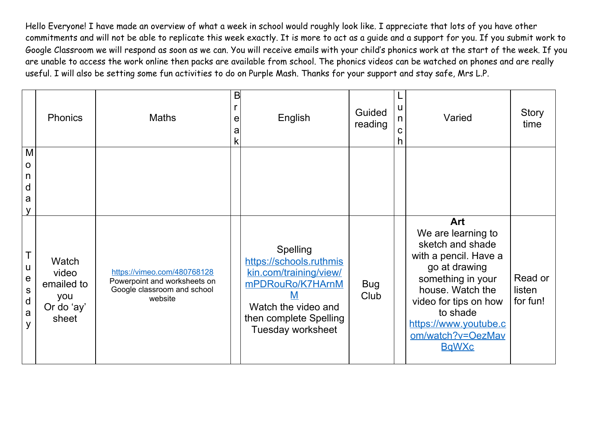|                                                              | <b>Phonics</b>                                             | <b>Maths</b>                                                                                          | B<br>e<br>a<br>k | English                                                                                                                                                        | Guided<br>reading  | u<br>n<br>C<br>h | Varied                                                                                                                                                                                                                              | <b>Story</b><br>time          |
|--------------------------------------------------------------|------------------------------------------------------------|-------------------------------------------------------------------------------------------------------|------------------|----------------------------------------------------------------------------------------------------------------------------------------------------------------|--------------------|------------------|-------------------------------------------------------------------------------------------------------------------------------------------------------------------------------------------------------------------------------------|-------------------------------|
| M<br>$\mathsf{o}$<br>n<br>d<br>a<br>y                        |                                                            |                                                                                                       |                  |                                                                                                                                                                |                    |                  |                                                                                                                                                                                                                                     |                               |
| U<br>$\mathsf{e}$<br>${\mathsf S}$<br>$\mathsf{d}$<br>a<br>y | Watch<br>video<br>emailed to<br>you<br>Or do 'ay'<br>sheet | https://vimeo.com/480768128<br>Powerpoint and worksheets on<br>Google classroom and school<br>website |                  | <b>Spelling</b><br>https://schools.ruthmis<br>kin.com/training/view/<br>mPDRouRo/K7HArnM<br>Watch the video and<br>then complete Spelling<br>Tuesday worksheet | <b>Bug</b><br>Club |                  | Art<br>We are learning to<br>sketch and shade<br>with a pencil. Have a<br>go at drawing<br>something in your<br>house. Watch the<br>video for tips on how<br>to shade<br>https://www.youtube.c<br>om/watch?v=OezMav<br><b>BaWXc</b> | Read or<br>listen<br>for fun! |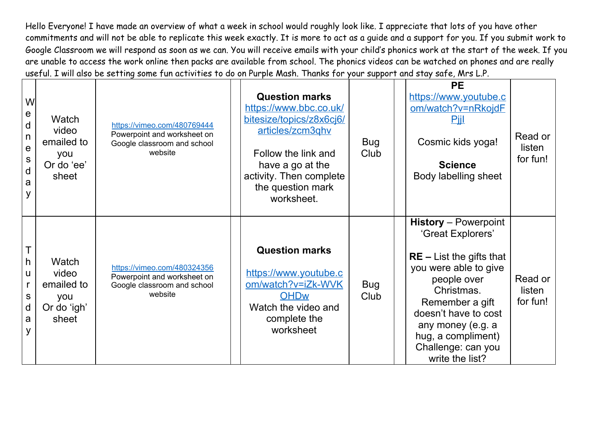| W<br>$\mathsf{e}$<br>d<br>n<br>e<br>${\sf S}$<br>d<br>a<br>y | Watch<br>video<br>emailed to<br>you<br>Or do 'ee'<br>sheet  | https://vimeo.com/480769444<br>Powerpoint and worksheet on<br>Google classroom and school<br>website | <b>Question marks</b><br>https://www.bbc.co.uk/<br>bitesize/topics/z8x6cj6/<br>articles/zcm3qhv<br>Follow the link and<br>have a go at the<br>activity. Then complete<br>the question mark<br>worksheet. | <b>Bug</b><br>Club | <b>PE</b><br>https://www.youtube.c<br>om/watch?v=nRkojdF<br><u>Piil</u><br>Cosmic kids yoga!<br><b>Science</b><br>Body labelling sheet                                                                                                                              | Read or<br>listen<br>for fun! |
|--------------------------------------------------------------|-------------------------------------------------------------|------------------------------------------------------------------------------------------------------|----------------------------------------------------------------------------------------------------------------------------------------------------------------------------------------------------------|--------------------|---------------------------------------------------------------------------------------------------------------------------------------------------------------------------------------------------------------------------------------------------------------------|-------------------------------|
| h<br>u<br>${\mathsf S}$<br>d<br>a<br>y                       | Watch<br>video<br>emailed to<br>you<br>Or do 'igh'<br>sheet | https://vimeo.com/480324356<br>Powerpoint and worksheet on<br>Google classroom and school<br>website | <b>Question marks</b><br>https://www.youtube.c<br>om/watch?v=iZk-WVK<br><b>OHDw</b><br>Watch the video and<br>complete the<br>worksheet                                                                  | <b>Bug</b><br>Club | <b>History</b> – Powerpoint<br>'Great Explorers'<br>$RE$ – List the gifts that<br>you were able to give<br>people over<br>Christmas.<br>Remember a gift<br>doesn't have to cost<br>any money (e.g. a<br>hug, a compliment)<br>Challenge: can you<br>write the list? | Read or<br>listen<br>for fun! |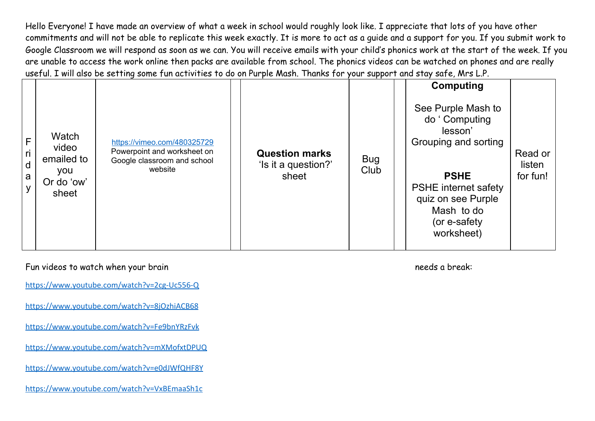|                                  |                                                            |                                                                                                      |                                                       |                    | <b>Computing</b>                                                                                                                                                                        |                               |
|----------------------------------|------------------------------------------------------------|------------------------------------------------------------------------------------------------------|-------------------------------------------------------|--------------------|-----------------------------------------------------------------------------------------------------------------------------------------------------------------------------------------|-------------------------------|
| F<br>ri<br>$\mathsf d$<br>a<br>y | Watch<br>video<br>emailed to<br>you<br>Or do 'ow'<br>sheet | https://vimeo.com/480325729<br>Powerpoint and worksheet on<br>Google classroom and school<br>website | <b>Question marks</b><br>'Is it a question?'<br>sheet | <b>Bug</b><br>Club | See Purple Mash to<br>do 'Computing<br>lesson'<br>Grouping and sorting<br><b>PSHE</b><br><b>PSHE</b> internet safety<br>quiz on see Purple<br>Mash to do<br>(or e-safety)<br>worksheet) | Read or<br>listen<br>for fun! |

Fun videos to watch when your brain needs a break:

<https://www.youtube.com/watch?v=2cg-Uc556-Q>

<https://www.youtube.com/watch?v=8jOzhiACB68>

<https://www.youtube.com/watch?v=Fe9bnYRzFvk>

<https://www.youtube.com/watch?v=mXMofxtDPUQ>

<https://www.youtube.com/watch?v=e0dJWfQHF8Y>

<https://www.youtube.com/watch?v=VxBEmaaSh1c>